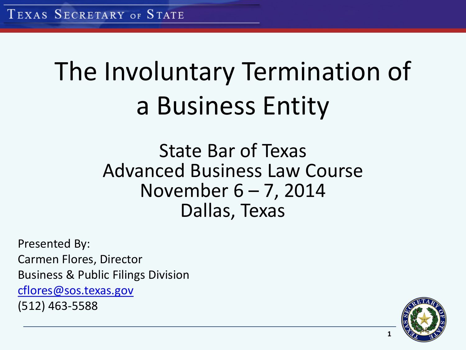# The Involuntary Termination of a Business Entity

State Bar of Texas Advanced Business Law Course November 6 – 7, 2014 Dallas, Texas

Presented By: Carmen Flores, Director Business & Public Filings Division [cflores@sos.texas.gov](mailto:cflores@sos.texas.gov) (512) 463-5588

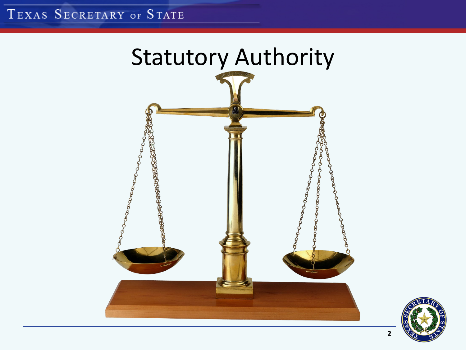#### TEXAS SECRETARY OF STATE



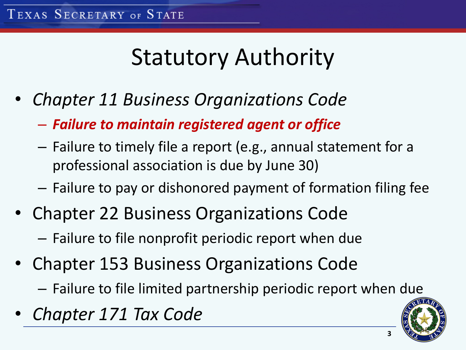### Statutory Authority

- *Chapter 11 Business Organizations Code*
	- *Failure to maintain registered agent or office*
	- Failure to timely file a report (e.g., annual statement for a professional association is due by June 30)
	- Failure to pay or dishonored payment of formation filing fee
- Chapter 22 Business Organizations Code
	- Failure to file nonprofit periodic report when due
- Chapter 153 Business Organizations Code
	- Failure to file limited partnership periodic report when due
- *Chapter 171 Tax Code*

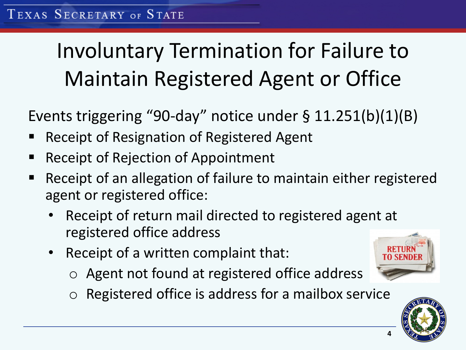### Involuntary Termination for Failure to Maintain Registered Agent or Office

Events triggering "90-day" notice under § 11.251(b)(1)(B)

- Receipt of Resignation of Registered Agent
- Receipt of Rejection of Appointment
- Receipt of an allegation of failure to maintain either registered agent or registered office:
	- Receipt of return mail directed to registered agent at registered office address
	- Receipt of a written complaint that:
		- o Agent not found at registered office address
		- Registered office is address for a mailbox service

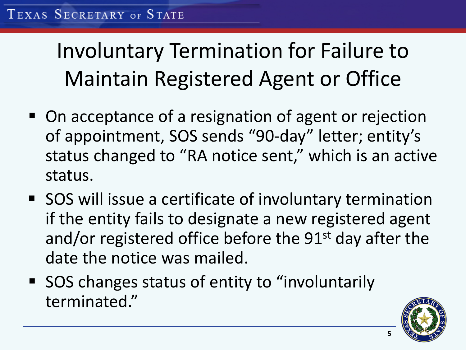Involuntary Termination for Failure to Maintain Registered Agent or Office

- On acceptance of a resignation of agent or rejection of appointment, SOS sends "90-day" letter; entity's status changed to "RA notice sent," which is an active status.
- SOS will issue a certificate of involuntary termination if the entity fails to designate a new registered agent and/or registered office before the 91<sup>st</sup> day after the date the notice was mailed.
- SOS changes status of entity to "involuntarily terminated."

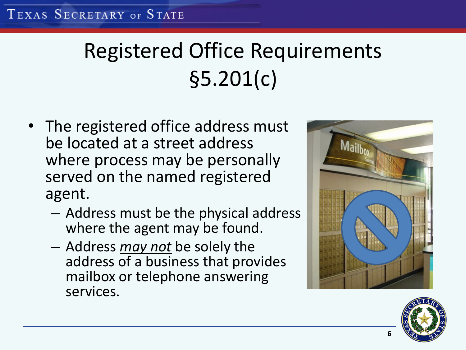## Registered Office Requirements §5.201(c)

- The registered office address must be located at a street address where process may be personally served on the named registered agent.
	- Address must be the physical address where the agent may be found.
	- Address *may not* be solely the address of a business that provides mailbox or telephone answering services.



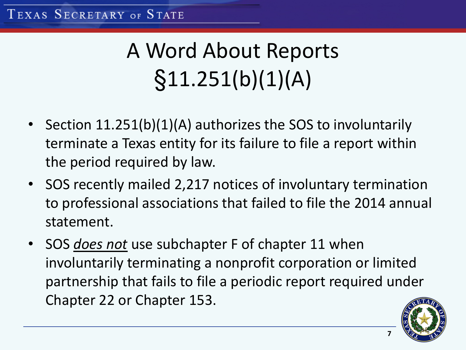## A Word About Reports  $§11.251(b)(1)(A)$

- Section 11.251(b)(1)(A) authorizes the SOS to involuntarily terminate a Texas entity for its failure to file a report within the period required by law.
- SOS recently mailed 2,217 notices of involuntary termination to professional associations that failed to file the 2014 annual statement.
- SOS *does not* use subchapter F of chapter 11 when involuntarily terminating a nonprofit corporation or limited partnership that fails to file a periodic report required under Chapter 22 or Chapter 153.

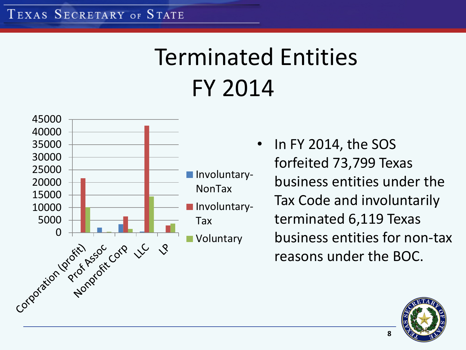## Terminated Entities FY 2014



In FY 2014, the SOS forfeited 73,799 Texas business entities under the Tax Code and involuntarily terminated 6,119 Texas business entities for non-tax reasons under the BOC.

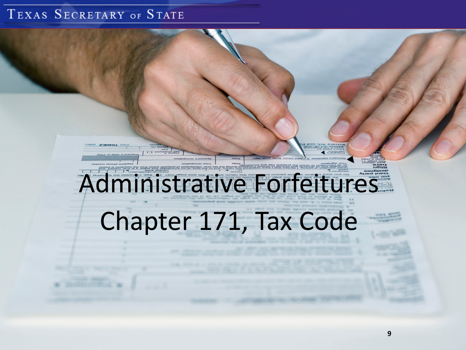#### TEXAS SECRETARY OF STATE

# Administrative Forfeitures

Chapter 171, Tax Code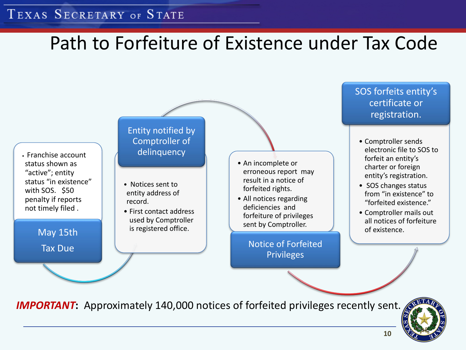#### TEXAS SECRETARY OF STATE

#### Path to Forfeiture of Existence under Tax Code

• Franchise account status shown as "active"; entity status "in existence" with SOS. \$50 penalty if reports not timely filed .

May 15th

Tax Due

Entity notified by Comptroller of delinquency

- Notices sent to entity address of record.
- First contact address used by Comptroller is registered office.
- An incomplete or erroneous report may result in a notice of forfeited rights.
- All notices regarding deficiencies and forfeiture of privileges sent by Comptroller.

Notice of Forfeited Privileges

SOS forfeits entity's certificate or registration.

- Comptroller sends electronic file to SOS to forfeit an entity's charter or foreign entity's registration.
- SOS changes status from "in existence" to "forfeited existence."
- Comptroller mails out all notices of forfeiture of existence.

**IMPORTANT:** Approximately 140,000 notices of forfeited privileges recently sent.

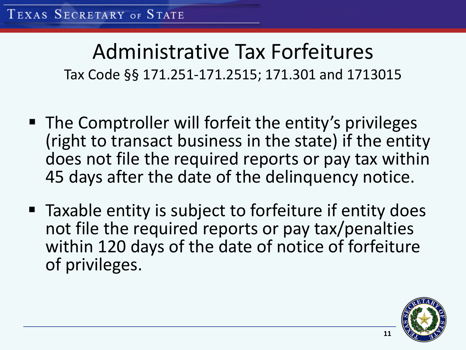#### Administrative Tax Forfeitures Tax Code §§ 171.251-171.2515; 171.301 and 1713015

- The Comptroller will forfeit the entity's privileges (right to transact business in the state) if the entity does not file the required reports or pay tax within 45 days after the date of the delinquency notice.
- Taxable entity is subject to forfeiture if entity does not file the required reports or pay tax/penalties within 120 days of the date of notice of forfeiture of privileges.

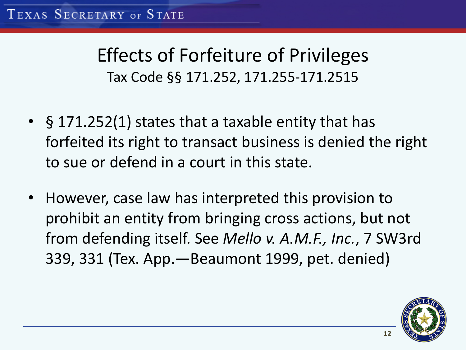#### Effects of Forfeiture of Privileges Tax Code §§ 171.252, 171.255-171.2515

- § 171.252(1) states that a taxable entity that has forfeited its right to transact business is denied the right to sue or defend in a court in this state.
- However, case law has interpreted this provision to prohibit an entity from bringing cross actions, but not from defending itself. See *Mello v. A.M.F., Inc.*, 7 SW3rd 339, 331 (Tex. App.—Beaumont 1999, pet. denied)

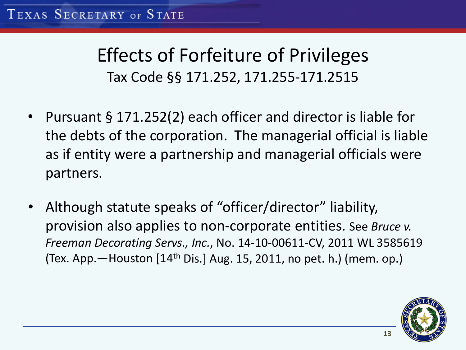#### Effects of Forfeiture of Privileges Tax Code §§ 171.252, 171.255-171.2515

- Pursuant § 171.252(2) each officer and director is liable for the debts of the corporation. The managerial official is liable as if entity were a partnership and managerial officials were partners.
- Although statute speaks of "officer/director" liability, provision also applies to non-corporate entities. See *Bruce v. Freeman Decorating Servs., Inc.*, No. 14-10-00611-CV, 2011 WL 3585619 (Tex. App.  $-$  Houston  $[14<sup>th</sup>$  Dis.] Aug. 15, 2011, no pet. h.) (mem. op.)

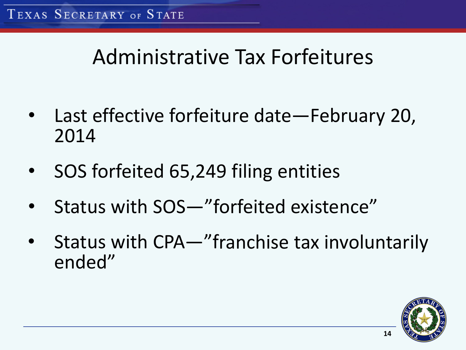### Administrative Tax Forfeitures

- Last effective forfeiture date—February 20, 2014
- SOS forfeited 65,249 filing entities
- Status with SOS—"forfeited existence"
- Status with CPA—"franchise tax involuntarily ended"

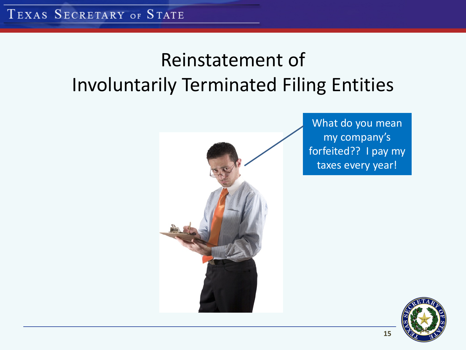### Reinstatement of Involuntarily Terminated Filing Entities



What do you mean my company's forfeited?? I pay my taxes every year!

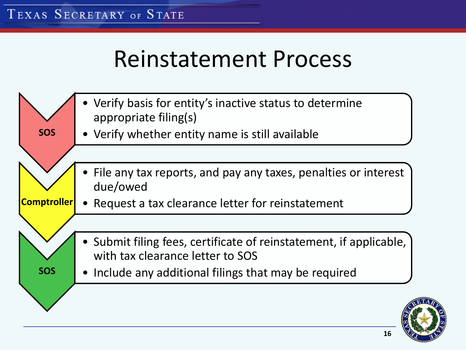### Reinstatement Process

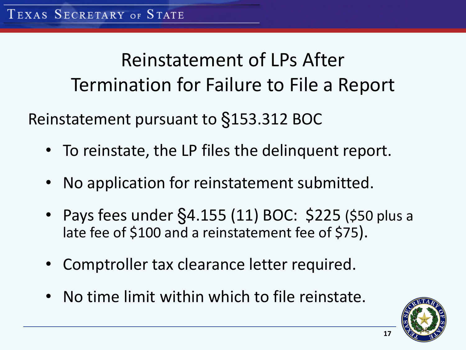Reinstatement of LPs After Termination for Failure to File a Report Reinstatement pursuant to §153.312 BOC

- To reinstate, the LP files the delinquent report.
- No application for reinstatement submitted.
- Pays fees under §4.155 (11) BOC: \$225 (\$50 plus a late fee of \$100 and a reinstatement fee of \$75).
- Comptroller tax clearance letter required.
- No time limit within which to file reinstate.

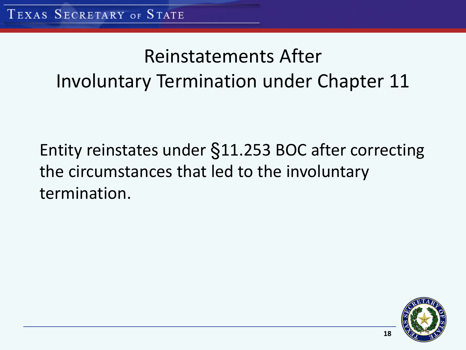### Reinstatements After Involuntary Termination under Chapter 11

Entity reinstates under §11.253 BOC after correcting the circumstances that led to the involuntary termination.

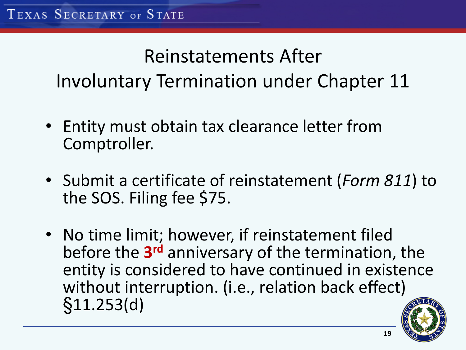### Reinstatements After Involuntary Termination under Chapter 11

- Entity must obtain tax clearance letter from Comptroller.
- Submit a certificate of reinstatement (*Form 811*) to the SOS. Filing fee \$75.
- No time limit; however, if reinstatement filed before the **3rd** anniversary of the termination, the entity is considered to have continued in existence without interruption. (i.e., relation back effect) §11.253(d)

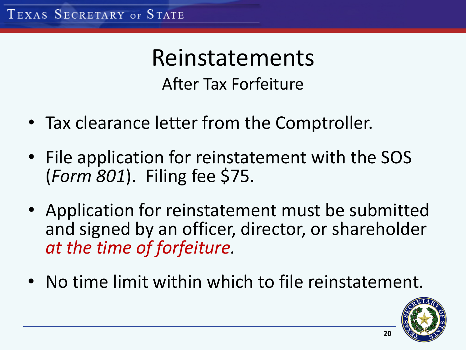Reinstatements After Tax Forfeiture

- Tax clearance letter from the Comptroller.
- File application for reinstatement with the SOS (*Form 801*). Filing fee \$75.
- Application for reinstatement must be submitted and signed by an officer, director, or shareholder *at the time of forfeiture.*
- No time limit within which to file reinstatement.

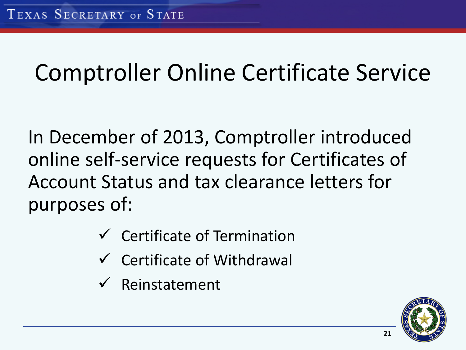### Comptroller Online Certificate Service

In December of 2013, Comptroller introduced online self-service requests for Certificates of Account Status and tax clearance letters for purposes of:

- $\checkmark$  Certificate of Termination
- $\checkmark$  Certificate of Withdrawal
- $\checkmark$  Reinstatement

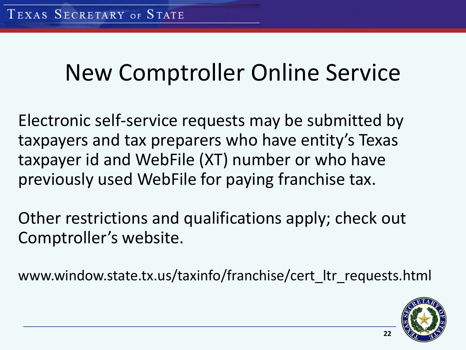### New Comptroller Online Service

Electronic self-service requests may be submitted by taxpayers and tax preparers who have entity's Texas taxpayer id and WebFile (XT) number or who have previously used WebFile for paying franchise tax.

Other restrictions and qualifications apply; check out Comptroller's website.

www.window.state.tx.us/taxinfo/franchise/cert\_ltr\_requests.html

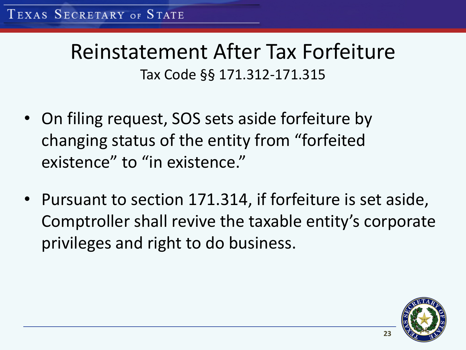### Reinstatement After Tax Forfeiture Tax Code §§ 171.312-171.315

- On filing request, SOS sets aside forfeiture by changing status of the entity from "forfeited existence" to "in existence."
- Pursuant to section 171.314, if forfeiture is set aside, Comptroller shall revive the taxable entity's corporate privileges and right to do business.

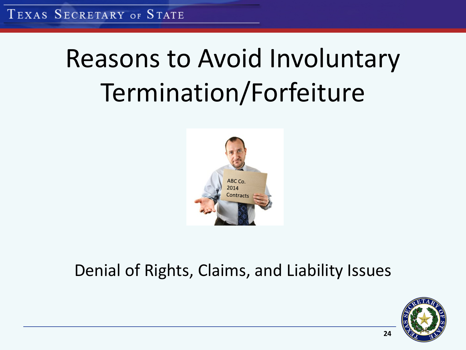TEXAS SECRETARY OF STATE

# Reasons to Avoid Involuntary Termination/Forfeiture



#### Denial of Rights, Claims, and Liability Issues

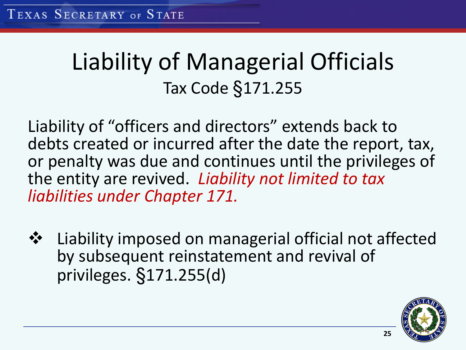### Liability of Managerial Officials Tax Code §171.255

Liability of "officers and directors" extends back to debts created or incurred after the date the report, tax, or penalty was due and continues until the privileges of the entity are revived. *Liability not limited to tax liabilities under Chapter 171.*

**❖** Liability imposed on managerial official not affected by subsequent reinstatement and revival of privileges. §171.255(d)

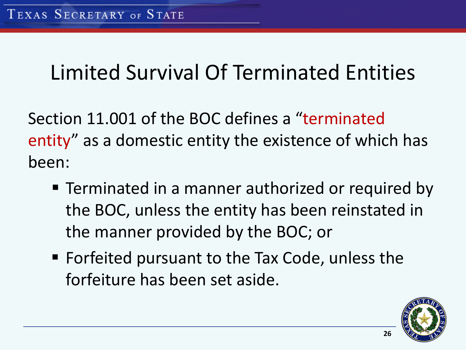### Limited Survival Of Terminated Entities

Section 11.001 of the BOC defines a "terminated entity" as a domestic entity the existence of which has been:

- **F** Terminated in a manner authorized or required by the BOC, unless the entity has been reinstated in the manner provided by the BOC; or
- Forfeited pursuant to the Tax Code, unless the forfeiture has been set aside.

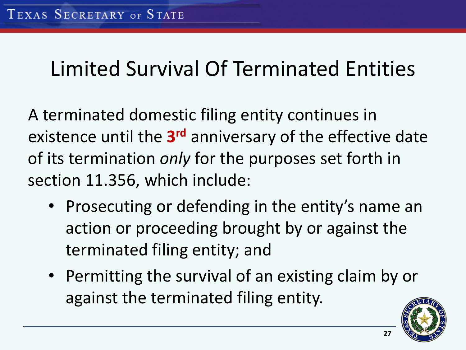### Limited Survival Of Terminated Entities

A terminated domestic filing entity continues in existence until the **3rd** anniversary of the effective date of its termination *only* for the purposes set forth in section 11.356, which include:

- Prosecuting or defending in the entity's name an action or proceeding brought by or against the terminated filing entity; and
- Permitting the survival of an existing claim by or against the terminated filing entity.

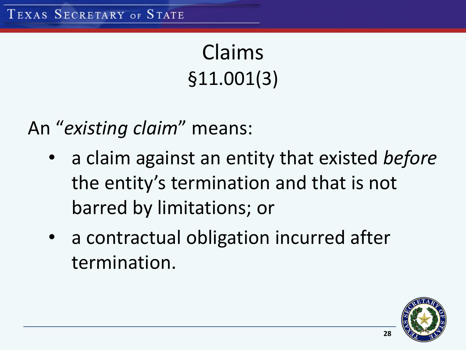Claims §11.001(3)

An "*existing claim*" means:

- a claim against an entity that existed *before* the entity's termination and that is not barred by limitations; or
- a contractual obligation incurred after termination.

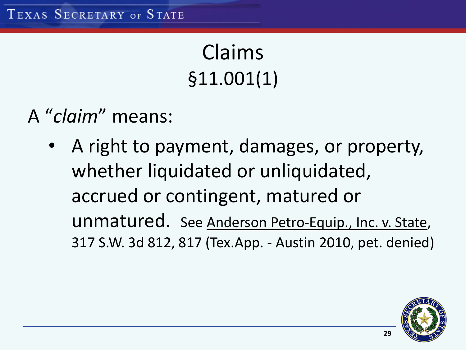Claims §11.001(1)

- A "*claim*" means:
	- A right to payment, damages, or property, whether liquidated or unliquidated, accrued or contingent, matured or unmatured. See Anderson Petro-Equip., Inc. v. State, 317 S.W. 3d 812, 817 (Tex.App. - Austin 2010, pet. denied)

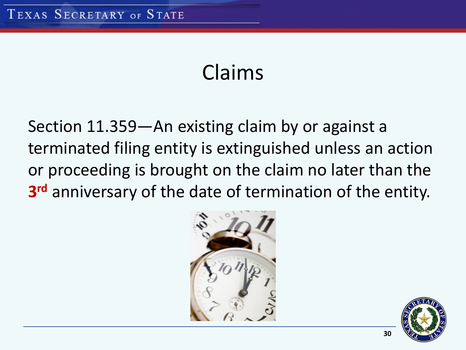### Claims

Section 11.359—An existing claim by or against a terminated filing entity is extinguished unless an action or proceeding is brought on the claim no later than the **3rd** anniversary of the date of termination of the entity.



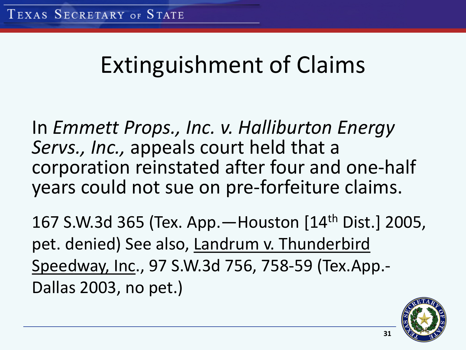### Extinguishment of Claims

In *Emmett Props., Inc. v. Halliburton Energy Servs., Inc.,* appeals court held that a corporation reinstated after four and one-half years could not sue on pre-forfeiture claims.

167 S.W.3d 365 (Tex. App.—Houston [14th Dist.] 2005, pet. denied) See also, Landrum v. Thunderbird Speedway, Inc., 97 S.W.3d 756, 758-59 (Tex.App.- Dallas 2003, no pet.)

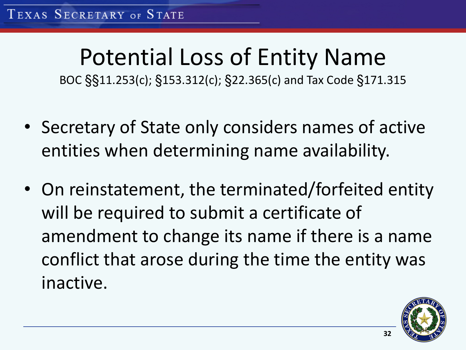## Potential Loss of Entity Name

BOC §§11.253(c); §153.312(c); §22.365(c) and Tax Code §171.315

- Secretary of State only considers names of active entities when determining name availability.
- On reinstatement, the terminated/forfeited entity will be required to submit a certificate of amendment to change its name if there is a name conflict that arose during the time the entity was inactive.

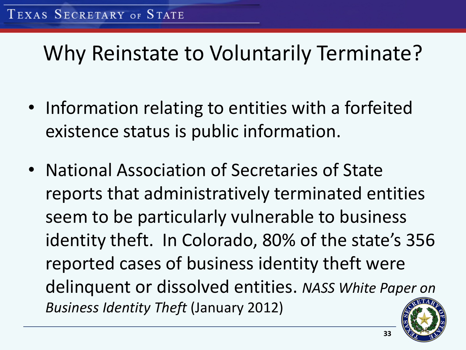### Why Reinstate to Voluntarily Terminate?

- Information relating to entities with a forfeited existence status is public information.
- National Association of Secretaries of State reports that administratively terminated entities seem to be particularly vulnerable to business identity theft. In Colorado, 80% of the state's 356 reported cases of business identity theft were delinquent or dissolved entities. *NASS White Paper on Business Identity Theft* (January 2012)